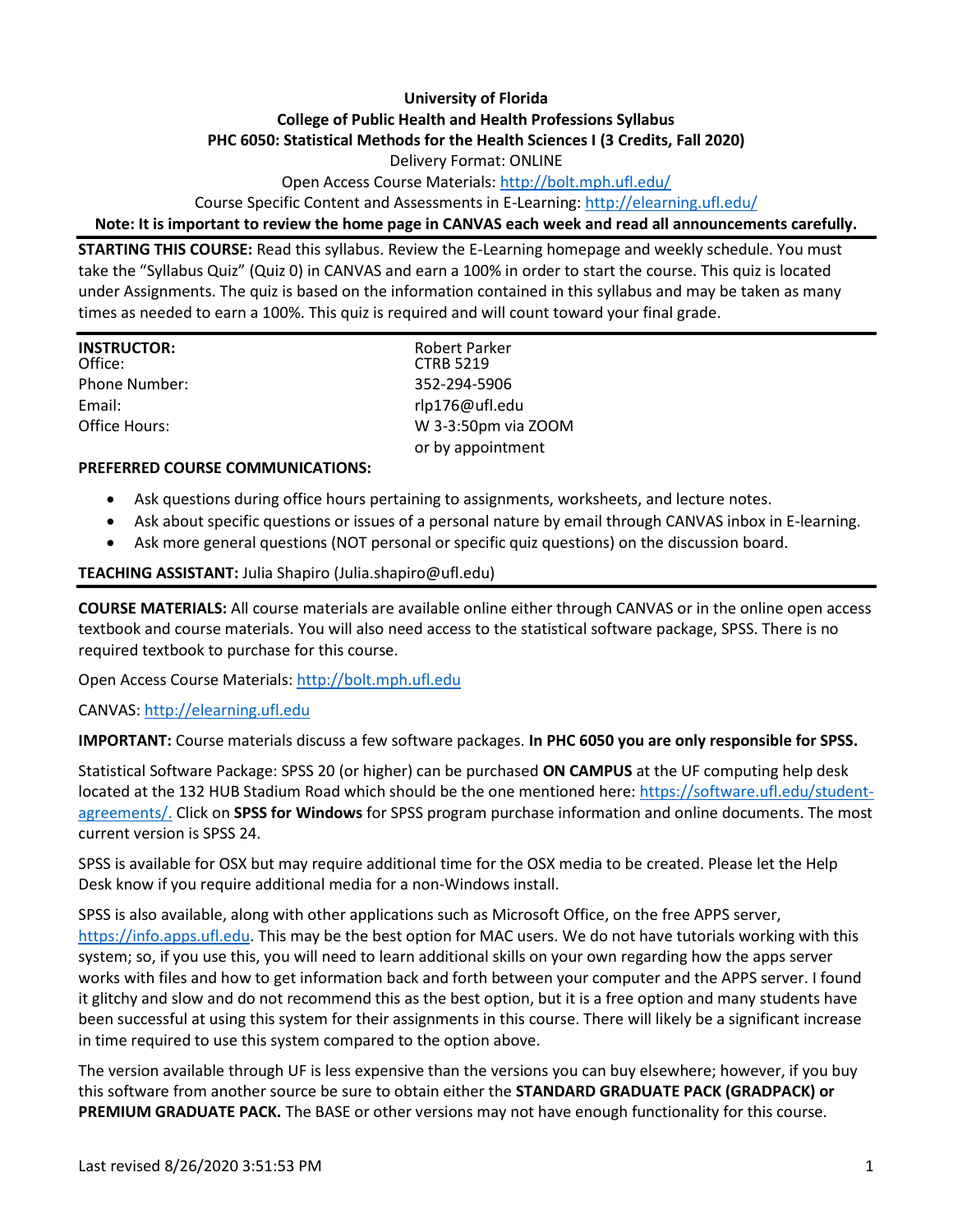# **University of Florida College of Public Health and Health Professions Syllabus PHC 6050: Statistical Methods for the Health Sciences I (3 Credits, Fall 2020)**

Delivery Format: ONLINE

Open Access Course Materials:<http://bolt.mph.ufl.edu/>

Course Specific Content and Assessments in E-Learning:<http://elearning.ufl.edu/>

#### **Note: It is important to review the home page in CANVAS each week and read all announcements carefully.**

**STARTING THIS COURSE:** Read this syllabus. Review the E-Learning homepage and weekly schedule. You must take the "Syllabus Quiz" (Quiz 0) in CANVAS and earn a 100% in order to start the course. This quiz is located under Assignments. The quiz is based on the information contained in this syllabus and may be taken as many times as needed to earn a 100%. This quiz is required and will count toward your final grade.

| <b>INSTRUCTOR:</b><br>Office: | <b>Robert Parker</b><br><b>CTRB 5219</b> |
|-------------------------------|------------------------------------------|
| Phone Number:                 | 352-294-5906                             |
| Email:                        | rlp176@ufl.edu                           |
| Office Hours:                 | W 3-3:50pm via ZOOM                      |
|                               | or by appointment                        |

#### **PREFERRED COURSE COMMUNICATIONS:**

- Ask questions during office hours pertaining to assignments, worksheets, and lecture notes.
- Ask about specific questions or issues of a personal nature by email through CANVAS inbox in E-learning.
- Ask more general questions (NOT personal or specific quiz questions) on the discussion board.

#### **TEACHING ASSISTANT:** Julia Shapiro (Julia.shapiro@ufl.edu)

**COURSE MATERIALS:** All course materials are available online either through CANVAS or in the online open access textbook and course materials. You will also need access to the statistical software package, SPSS. There is no required textbook to purchase for this course.

Open Access Course Materials[: http://bolt.mph.ufl.edu](http://bolt.mph.ufl.edu/)

#### CANVAS: [http://elearning.ufl.edu](http://elearning.ufl.edu/)

**IMPORTANT:** Course materials discuss a few software packages. **In PHC 6050 you are only responsible for SPSS.**

Statistical Software Package: SPSS 20 (or higher) can be purchased **ON CAMPUS** at the UF computing help desk located at the 132 HUB Stadium Road which should be the one mentioned here: [https://software.ufl.edu/student](https://software.ufl.edu/student-agreements/)[agreements/.](https://software.ufl.edu/student-agreements/) Click on **SPSS for Windows** for SPSS program purchase information and online documents. The most current version is SPSS 24.

SPSS is available for OSX but may require additional time for the OSX media to be created. Please let the Help Desk know if you require additional media for a non-Windows install.

SPSS is also available, along with other applications such as Microsoft Office, on the free APPS server, [https://info.apps.ufl.edu.](https://info.apps.ufl.edu/) This may be the best option for MAC users. We do not have tutorials working with this system; so, if you use this, you will need to learn additional skills on your own regarding how the apps server works with files and how to get information back and forth between your computer and the APPS server. I found it glitchy and slow and do not recommend this as the best option, but it is a free option and many students have been successful at using this system for their assignments in this course. There will likely be a significant increase in time required to use this system compared to the option above.

The version available through UF is less expensive than the versions you can buy elsewhere; however, if you buy this software from another source be sure to obtain either the **STANDARD GRADUATE PACK (GRADPACK) or PREMIUM GRADUATE PACK.** The BASE or other versions may not have enough functionality for this course.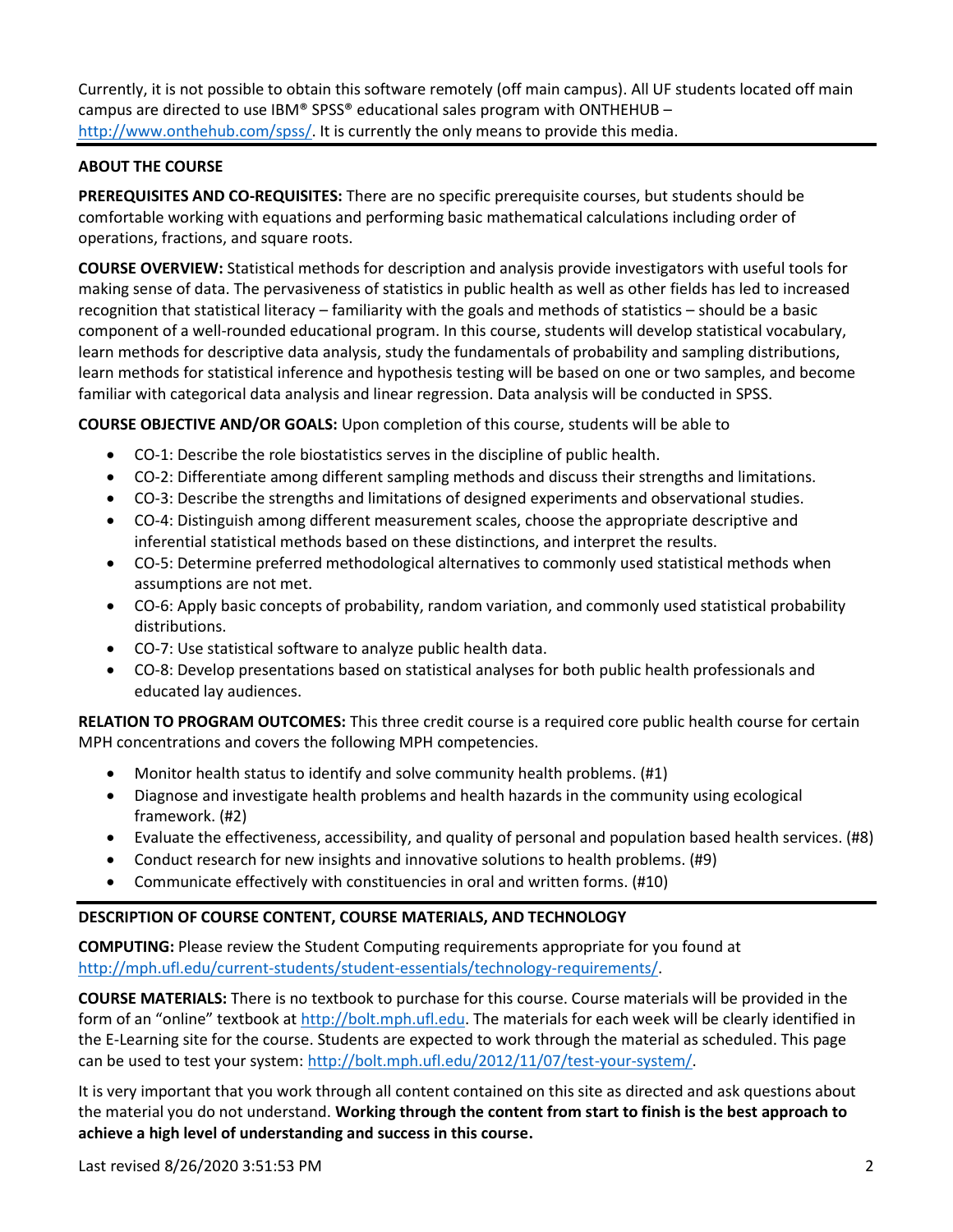Currently, it is not possible to obtain this software remotely (off main campus). All UF students located off main campus are directed to use IBM® SPSS® educational sales program with ONTHEHUB – [http://www.onthehub.com/spss/.](http://www.onthehub.com/spss/) It is currently the only means to provide this media.

### **ABOUT THE COURSE**

**PREREQUISITES AND CO-REQUISITES:** There are no specific prerequisite courses, but students should be comfortable working with equations and performing basic mathematical calculations including order of operations, fractions, and square roots.

**COURSE OVERVIEW:** Statistical methods for description and analysis provide investigators with useful tools for making sense of data. The pervasiveness of statistics in public health as well as other fields has led to increased recognition that statistical literacy – familiarity with the goals and methods of statistics – should be a basic component of a well-rounded educational program. In this course, students will develop statistical vocabulary, learn methods for descriptive data analysis, study the fundamentals of probability and sampling distributions, learn methods for statistical inference and hypothesis testing will be based on one or two samples, and become familiar with categorical data analysis and linear regression. Data analysis will be conducted in SPSS.

**COURSE OBJECTIVE AND/OR GOALS:** Upon completion of this course, students will be able to

- CO-1: Describe the role biostatistics serves in the discipline of public health.
- CO-2: Differentiate among different sampling methods and discuss their strengths and limitations.
- CO-3: Describe the strengths and limitations of designed experiments and observational studies.
- CO-4: Distinguish among different measurement scales, choose the appropriate descriptive and inferential statistical methods based on these distinctions, and interpret the results.
- CO-5: Determine preferred methodological alternatives to commonly used statistical methods when assumptions are not met.
- CO-6: Apply basic concepts of probability, random variation, and commonly used statistical probability distributions.
- CO-7: Use statistical software to analyze public health data.
- CO-8: Develop presentations based on statistical analyses for both public health professionals and educated lay audiences.

**RELATION TO PROGRAM OUTCOMES:** This three credit course is a required core public health course for certain MPH concentrations and covers the following MPH competencies.

- Monitor health status to identify and solve community health problems. (#1)
- Diagnose and investigate health problems and health hazards in the community using ecological framework. (#2)
- Evaluate the effectiveness, accessibility, and quality of personal and population based health services. (#8)
- Conduct research for new insights and innovative solutions to health problems. (#9)
- Communicate effectively with constituencies in oral and written forms. (#10)

### **DESCRIPTION OF COURSE CONTENT, COURSE MATERIALS, AND TECHNOLOGY**

**COMPUTING:** Please review the Student Computing requirements appropriate for you found at [http://mph.ufl.edu/current-students/student-essentials/technology-requirements/.](http://mph.ufl.edu/current-students/student-essentials/technology-requirements/)

**COURSE MATERIALS:** There is no textbook to purchase for this course. Course materials will be provided in the form of an "online" textbook at [http://bolt.mph.ufl.edu.](http://bolt.mph.ufl.edu/) The materials for each week will be clearly identified in the E-Learning site for the course. Students are expected to work through the material as scheduled. This page can be used to test your system[: http://bolt.mph.ufl.edu/2012/11/07/test-your-system/.](http://bolt.mph.ufl.edu/2012/11/07/test-your-system/)

It is very important that you work through all content contained on this site as directed and ask questions about the material you do not understand. **Working through the content from start to finish is the best approach to achieve a high level of understanding and success in this course.**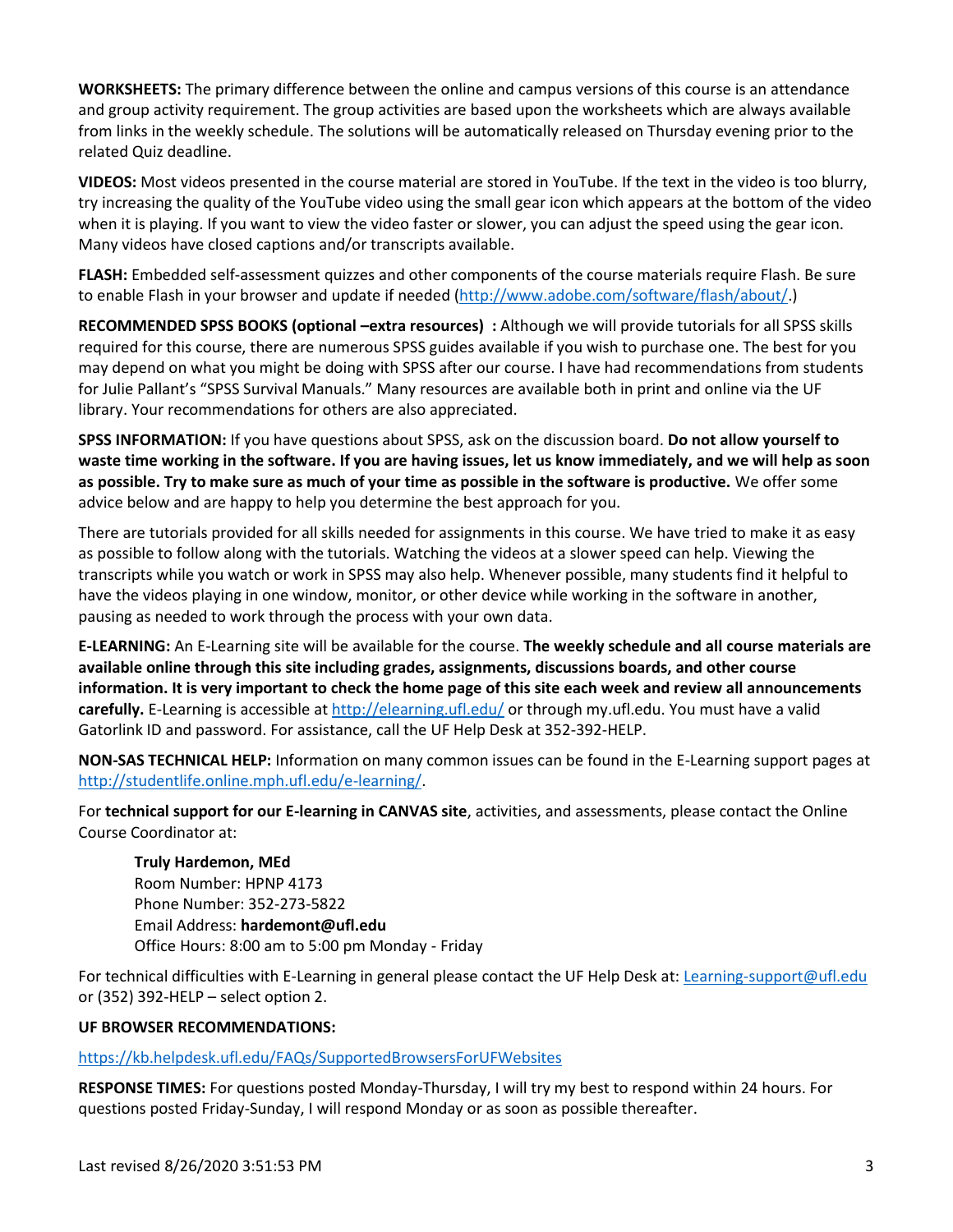**WORKSHEETS:** The primary difference between the online and campus versions of this course is an attendance and group activity requirement. The group activities are based upon the worksheets which are always available from links in the weekly schedule. The solutions will be automatically released on Thursday evening prior to the related Quiz deadline.

**VIDEOS:** Most videos presented in the course material are stored in YouTube. If the text in the video is too blurry, try increasing the quality of the YouTube video using the small gear icon which appears at the bottom of the video when it is playing. If you want to view the video faster or slower, you can adjust the speed using the gear icon. Many videos have closed captions and/or transcripts available.

**FLASH:** Embedded self-assessment quizzes and other components of the course materials require Flash. Be sure to enable Flash in your browser and update if needed [\(http://www.adobe.com/software/flash/about/.](http://www.adobe.com/software/flash/about/))

**RECOMMENDED SPSS BOOKS (optional –extra resources) :** Although we will provide tutorials for all SPSS skills required for this course, there are numerous SPSS guides available if you wish to purchase one. The best for you may depend on what you might be doing with SPSS after our course. I have had recommendations from students for Julie Pallant's "SPSS Survival Manuals." Many resources are available both in print and online via the UF library. Your recommendations for others are also appreciated.

**SPSS INFORMATION:** If you have questions about SPSS, ask on the discussion board. **Do not allow yourself to waste time working in the software. If you are having issues, let us know immediately, and we will help as soon as possible. Try to make sure as much of your time as possible in the software is productive.** We offer some advice below and are happy to help you determine the best approach for you.

There are tutorials provided for all skills needed for assignments in this course. We have tried to make it as easy as possible to follow along with the tutorials. Watching the videos at a slower speed can help. Viewing the transcripts while you watch or work in SPSS may also help. Whenever possible, many students find it helpful to have the videos playing in one window, monitor, or other device while working in the software in another, pausing as needed to work through the process with your own data.

**E-LEARNING:** An E-Learning site will be available for the course. **The weekly schedule and all course materials are available online through this site including grades, assignments, discussions boards, and other course information. It is very important to check the home page of this site each week and review all announcements carefully.** E-Learning is accessible at<http://elearning.ufl.edu/> or through my.ufl.edu. You must have a valid Gatorlink ID and password. For assistance, call the UF Help Desk at 352-392-HELP.

**NON-SAS TECHNICAL HELP:** Information on many common issues can be found in the E-Learning support pages at [http://studentlife.online.mph.ufl.edu/e-learning/.](http://studentlife.online.mph.ufl.edu/e-learning/)

For **technical support for our E-learning in CANVAS site**, activities, and assessments, please contact the Online Course Coordinator at:

**Truly Hardemon, MEd** Room Number: HPNP 4173 Phone Number: 352-273-5822 Email Address: **hardemont@ufl.edu** Office Hours: 8:00 am to 5:00 pm Monday - Friday

For technical difficulties with E-Learning in general please contact the UF Help Desk at: [Learning-support@ufl.edu](mailto:Learning-support@ufl.edu) or (352) 392-HELP – select option 2.

### **UF BROWSER RECOMMENDATIONS:**

<https://kb.helpdesk.ufl.edu/FAQs/SupportedBrowsersForUFWebsites>

**RESPONSE TIMES:** For questions posted Monday-Thursday, I will try my best to respond within 24 hours. For questions posted Friday-Sunday, I will respond Monday or as soon as possible thereafter.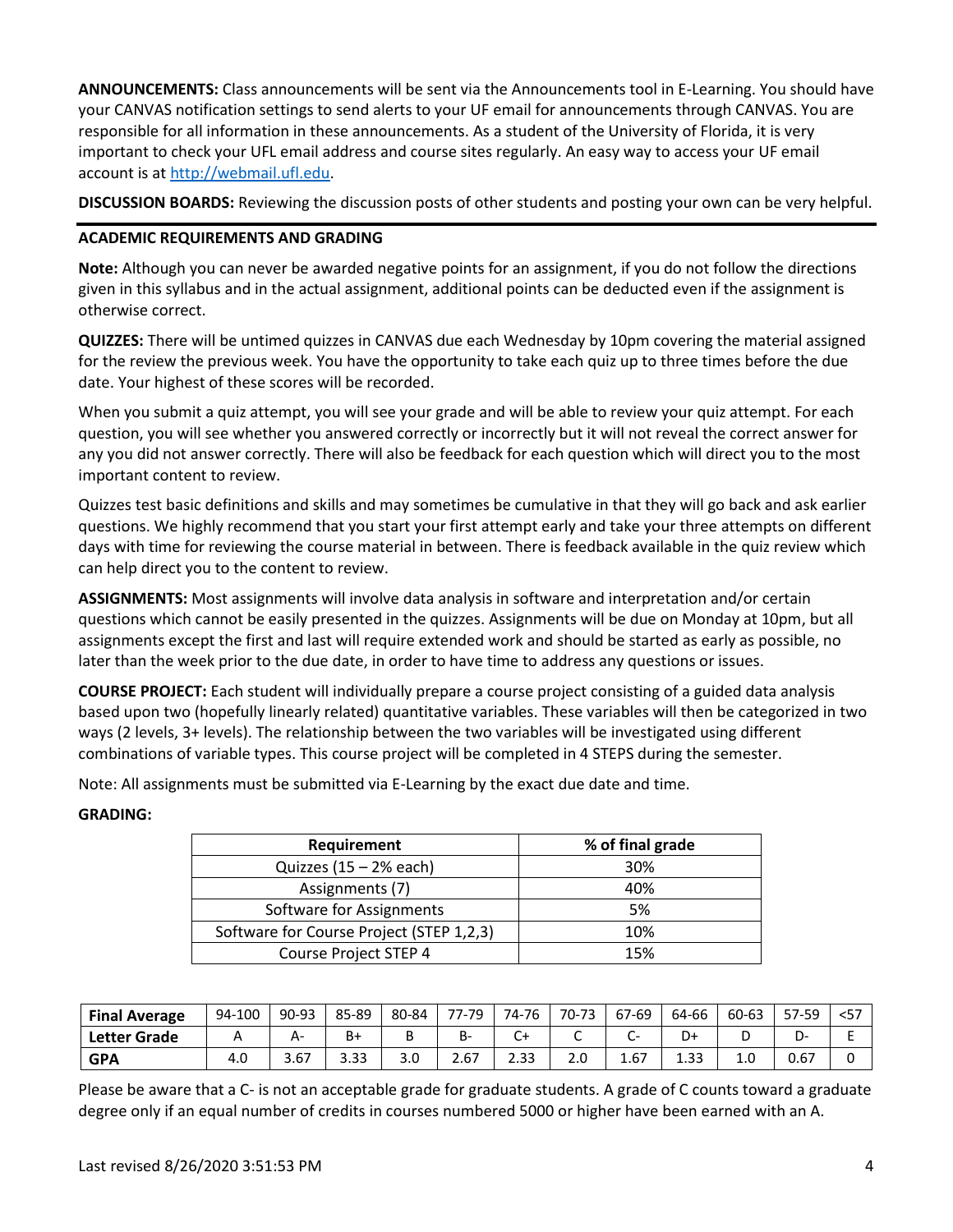**ANNOUNCEMENTS:** Class announcements will be sent via the Announcements tool in E-Learning. You should have your CANVAS notification settings to send alerts to your UF email for announcements through CANVAS. You are responsible for all information in these announcements. As a student of the University of Florida, it is very important to check your UFL email address and course sites regularly. An easy way to access your UF email account is at [http://webmail.ufl.edu.](http://webmail.ufl.edu/)

**DISCUSSION BOARDS:** Reviewing the discussion posts of other students and posting your own can be very helpful.

#### **ACADEMIC REQUIREMENTS AND GRADING**

**Note:** Although you can never be awarded negative points for an assignment, if you do not follow the directions given in this syllabus and in the actual assignment, additional points can be deducted even if the assignment is otherwise correct.

**QUIZZES:** There will be untimed quizzes in CANVAS due each Wednesday by 10pm covering the material assigned for the review the previous week. You have the opportunity to take each quiz up to three times before the due date. Your highest of these scores will be recorded.

When you submit a quiz attempt, you will see your grade and will be able to review your quiz attempt. For each question, you will see whether you answered correctly or incorrectly but it will not reveal the correct answer for any you did not answer correctly. There will also be feedback for each question which will direct you to the most important content to review.

Quizzes test basic definitions and skills and may sometimes be cumulative in that they will go back and ask earlier questions. We highly recommend that you start your first attempt early and take your three attempts on different days with time for reviewing the course material in between. There is feedback available in the quiz review which can help direct you to the content to review.

**ASSIGNMENTS:** Most assignments will involve data analysis in software and interpretation and/or certain questions which cannot be easily presented in the quizzes. Assignments will be due on Monday at 10pm, but all assignments except the first and last will require extended work and should be started as early as possible, no later than the week prior to the due date, in order to have time to address any questions or issues.

**COURSE PROJECT:** Each student will individually prepare a course project consisting of a guided data analysis based upon two (hopefully linearly related) quantitative variables. These variables will then be categorized in two ways (2 levels, 3+ levels). The relationship between the two variables will be investigated using different combinations of variable types. This course project will be completed in 4 STEPS during the semester.

Note: All assignments must be submitted via E-Learning by the exact due date and time.

#### **GRADING:**

| Requirement                              | % of final grade |
|------------------------------------------|------------------|
| Quizzes $(15 - 2\%$ each)                | 30%              |
| Assignments (7)                          | 40%              |
| Software for Assignments                 | .5%              |
| Software for Course Project (STEP 1,2,3) | 10%              |
| <b>Course Project STEP 4</b>             | 15%              |

| <b>Final Average</b> | 94-100 | 90-93 | 85-89 | 80-84 | 77-79 | 74-76 | 70-73                           | 67-69                    | 64-66 | 60-63 | 57-59 | $<$ 57 |
|----------------------|--------|-------|-------|-------|-------|-------|---------------------------------|--------------------------|-------|-------|-------|--------|
| <b>Letter Grade</b>  |        | А-    | B+    |       | B-    | ◡     |                                 | $\overline{\phantom{a}}$ | D+    |       |       |        |
| <b>GPA</b>           | 4.O    | 3.67  | 3.33  | J.U   | 2.67  | 2.33  | $\overline{\phantom{a}}$<br>2.0 | 1.67                     | 1.33  | 1.U   | 0.67  |        |

Please be aware that a C- is not an acceptable grade for graduate students. A grade of C counts toward a graduate degree only if an equal number of credits in courses numbered 5000 or higher have been earned with an A.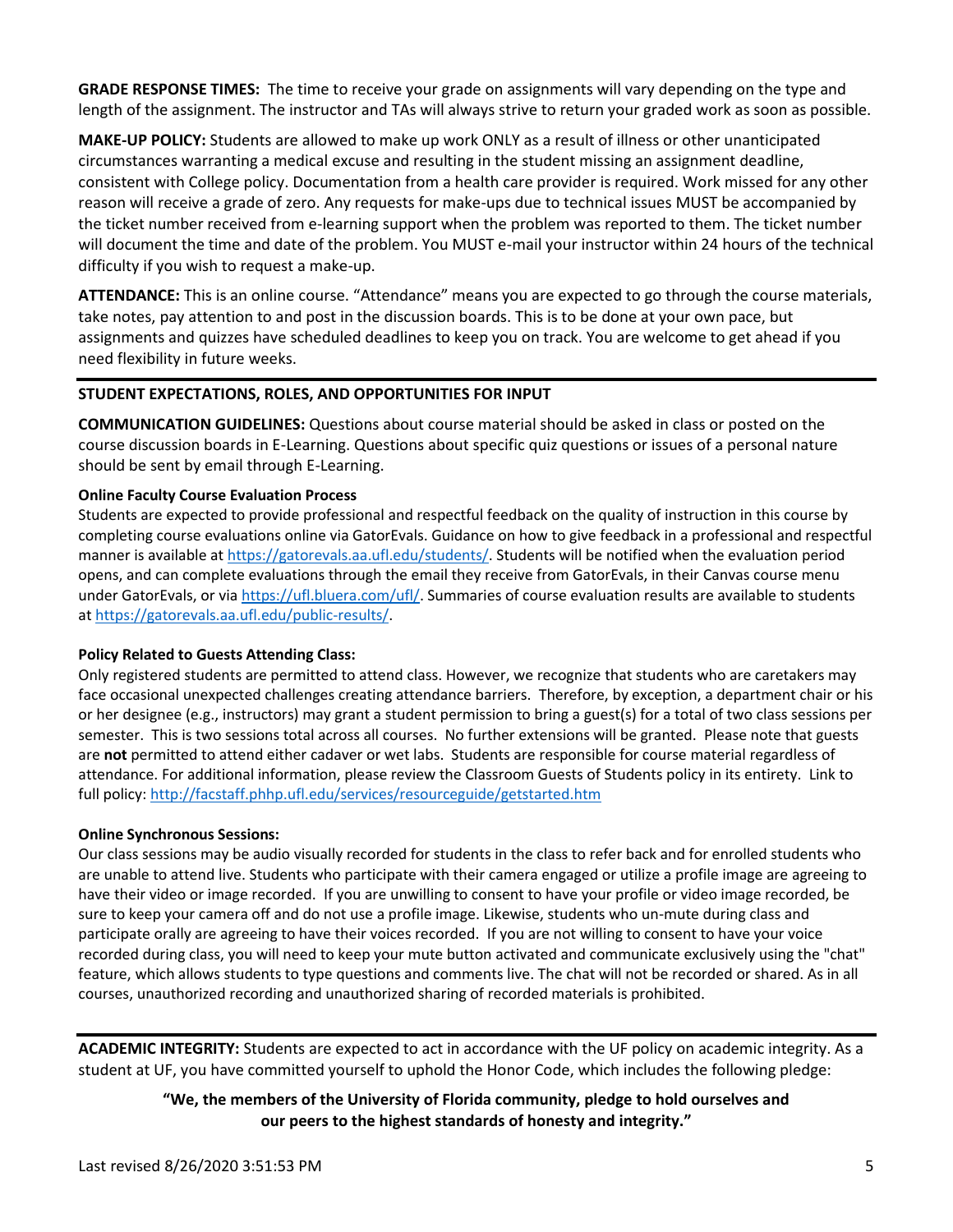**GRADE RESPONSE TIMES:** The time to receive your grade on assignments will vary depending on the type and length of the assignment. The instructor and TAs will always strive to return your graded work as soon as possible.

**MAKE-UP POLICY:** Students are allowed to make up work ONLY as a result of illness or other unanticipated circumstances warranting a medical excuse and resulting in the student missing an assignment deadline, consistent with College policy. Documentation from a health care provider is required. Work missed for any other reason will receive a grade of zero. Any requests for make-ups due to technical issues MUST be accompanied by the ticket number received from e-learning support when the problem was reported to them. The ticket number will document the time and date of the problem. You MUST e-mail your instructor within 24 hours of the technical difficulty if you wish to request a make-up.

**ATTENDANCE:** This is an online course. "Attendance" means you are expected to go through the course materials, take notes, pay attention to and post in the discussion boards. This is to be done at your own pace, but assignments and quizzes have scheduled deadlines to keep you on track. You are welcome to get ahead if you need flexibility in future weeks.

### **STUDENT EXPECTATIONS, ROLES, AND OPPORTUNITIES FOR INPUT**

**COMMUNICATION GUIDELINES:** Questions about course material should be asked in class or posted on the course discussion boards in E-Learning. Questions about specific quiz questions or issues of a personal nature should be sent by email through E-Learning.

#### **Online Faculty Course Evaluation Process**

Students are expected to provide professional and respectful feedback on the quality of instruction in this course by completing course evaluations online via GatorEvals. Guidance on how to give feedback in a professional and respectful manner is available at [https://gatorevals.aa.ufl.edu/students/.](https://gatorevals.aa.ufl.edu/students/) Students will be notified when the evaluation period opens, and can complete evaluations through the email they receive from GatorEvals, in their Canvas course menu under GatorEvals, or via [https://ufl.bluera.com/ufl/.](https://urldefense.proofpoint.com/v2/url?u=https-3A__ufl.bluera.com_ufl_&d=DwMFAg&c=sJ6xIWYx-zLMB3EPkvcnVg&r=y2HjEMjRMHJhfdvLrqJZlYczRsfp5e4TfQjHuc5rVHg&m=WXko6OK_Ha6T00ZVAsEaSh99qRXHOgMNFRywCoehRho&s=itVU46DDJjnIg4CW6efJOOLgPjdzsPvCghyfzJoFONs&e=) Summaries of course evaluation results are available to students at [https://gatorevals.aa.ufl.edu/public-results/.](https://gatorevals.aa.ufl.edu/public-results/)

#### **Policy Related to Guests Attending Class:**

Only registered students are permitted to attend class. However, we recognize that students who are caretakers may face occasional unexpected challenges creating attendance barriers. Therefore, by exception, a department chair or his or her designee (e.g., instructors) may grant a student permission to bring a guest(s) for a total of two class sessions per semester. This is two sessions total across all courses. No further extensions will be granted. Please note that guests are **not** permitted to attend either cadaver or wet labs. Students are responsible for course material regardless of attendance. For additional information, please review the Classroom Guests of Students policy in its entirety. Link to full policy[: http://facstaff.phhp.ufl.edu/services/resourceguide/getstarted.htm](http://facstaff.phhp.ufl.edu/services/resourceguide/getstarted.htm)

#### **Online Synchronous Sessions:**

Our class sessions may be audio visually recorded for students in the class to refer back and for enrolled students who are unable to attend live. Students who participate with their camera engaged or utilize a profile image are agreeing to have their video or image recorded. If you are unwilling to consent to have your profile or video image recorded, be sure to keep your camera off and do not use a profile image. Likewise, students who un-mute during class and participate orally are agreeing to have their voices recorded. If you are not willing to consent to have your voice recorded during class, you will need to keep your mute button activated and communicate exclusively using the "chat" feature, which allows students to type questions and comments live. The chat will not be recorded or shared. As in all courses, unauthorized recording and unauthorized sharing of recorded materials is prohibited.

**ACADEMIC INTEGRITY:** Students are expected to act in accordance with the UF policy on academic integrity. As a student at UF, you have committed yourself to uphold the Honor Code, which includes the following pledge:

> **"We, the members of the University of Florida community, pledge to hold ourselves and our peers to the highest standards of honesty and integrity."**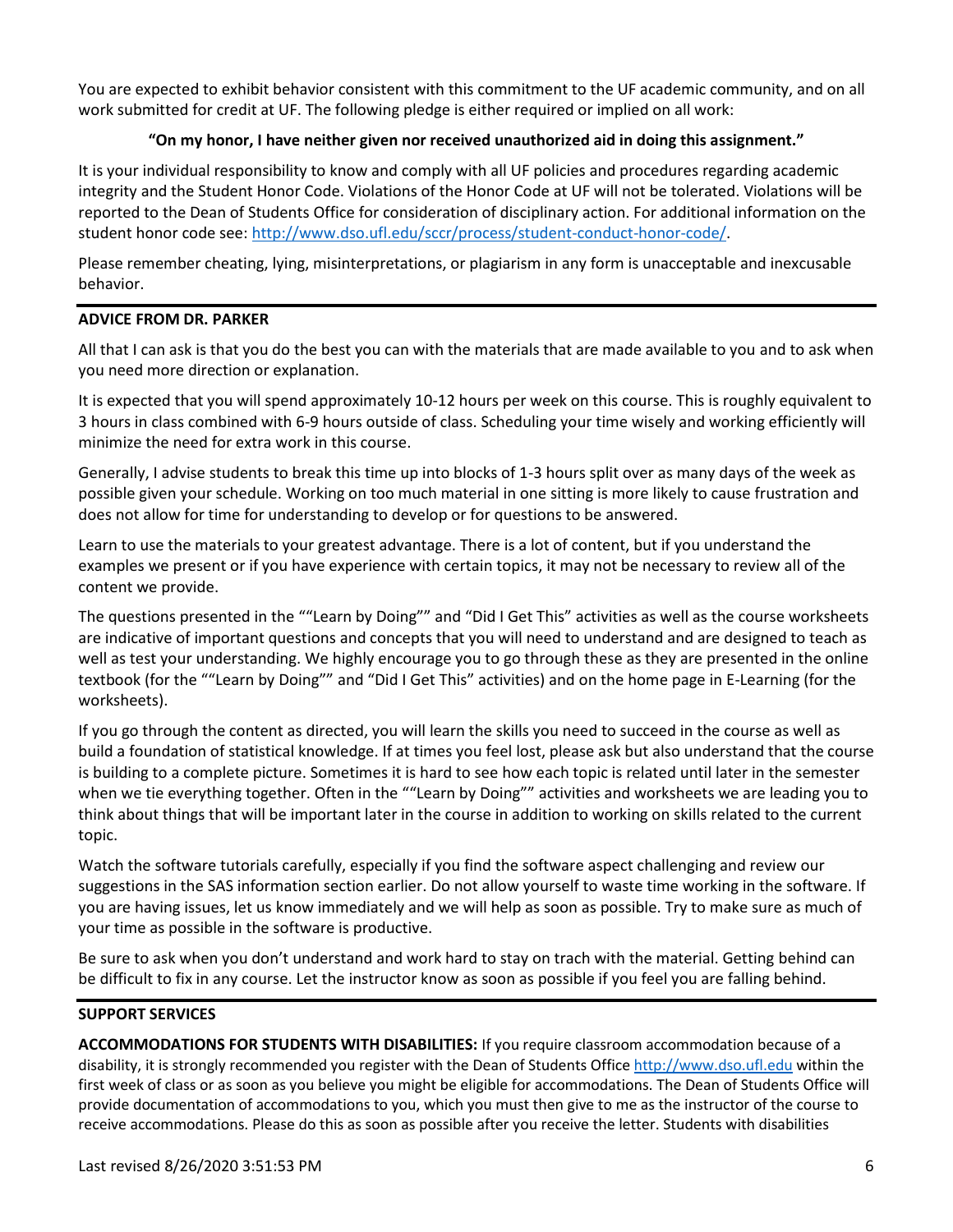You are expected to exhibit behavior consistent with this commitment to the UF academic community, and on all work submitted for credit at UF. The following pledge is either required or implied on all work:

### **"On my honor, I have neither given nor received unauthorized aid in doing this assignment."**

It is your individual responsibility to know and comply with all UF policies and procedures regarding academic integrity and the Student Honor Code. Violations of the Honor Code at UF will not be tolerated. Violations will be reported to the Dean of Students Office for consideration of disciplinary action. For additional information on the student honor code see[: http://www.dso.ufl.edu/sccr/process/student-conduct-honor-code/.](http://www.dso.ufl.edu/sccr/process/student-conduct-honor-code/)

Please remember cheating, lying, misinterpretations, or plagiarism in any form is unacceptable and inexcusable behavior.

### **ADVICE FROM DR. PARKER**

All that I can ask is that you do the best you can with the materials that are made available to you and to ask when you need more direction or explanation.

It is expected that you will spend approximately 10-12 hours per week on this course. This is roughly equivalent to 3 hours in class combined with 6-9 hours outside of class. Scheduling your time wisely and working efficiently will minimize the need for extra work in this course.

Generally, I advise students to break this time up into blocks of 1-3 hours split over as many days of the week as possible given your schedule. Working on too much material in one sitting is more likely to cause frustration and does not allow for time for understanding to develop or for questions to be answered.

Learn to use the materials to your greatest advantage. There is a lot of content, but if you understand the examples we present or if you have experience with certain topics, it may not be necessary to review all of the content we provide.

The questions presented in the ""Learn by Doing"" and "Did I Get This" activities as well as the course worksheets are indicative of important questions and concepts that you will need to understand and are designed to teach as well as test your understanding. We highly encourage you to go through these as they are presented in the online textbook (for the ""Learn by Doing"" and "Did I Get This" activities) and on the home page in E-Learning (for the worksheets).

If you go through the content as directed, you will learn the skills you need to succeed in the course as well as build a foundation of statistical knowledge. If at times you feel lost, please ask but also understand that the course is building to a complete picture. Sometimes it is hard to see how each topic is related until later in the semester when we tie everything together. Often in the ""Learn by Doing"" activities and worksheets we are leading you to think about things that will be important later in the course in addition to working on skills related to the current topic.

Watch the software tutorials carefully, especially if you find the software aspect challenging and review our suggestions in the SAS information section earlier. Do not allow yourself to waste time working in the software. If you are having issues, let us know immediately and we will help as soon as possible. Try to make sure as much of your time as possible in the software is productive.

Be sure to ask when you don't understand and work hard to stay on trach with the material. Getting behind can be difficult to fix in any course. Let the instructor know as soon as possible if you feel you are falling behind.

#### **SUPPORT SERVICES**

**ACCOMMODATIONS FOR STUDENTS WITH DISABILITIES:** If you require classroom accommodation because of a disability, it is strongly recommended you register with the Dean of Students Offic[e http://www.dso.ufl.edu](http://www.dso.ufl.edu/) within the first week of class or as soon as you believe you might be eligible for accommodations. The Dean of Students Office will provide documentation of accommodations to you, which you must then give to me as the instructor of the course to receive accommodations. Please do this as soon as possible after you receive the letter. Students with disabilities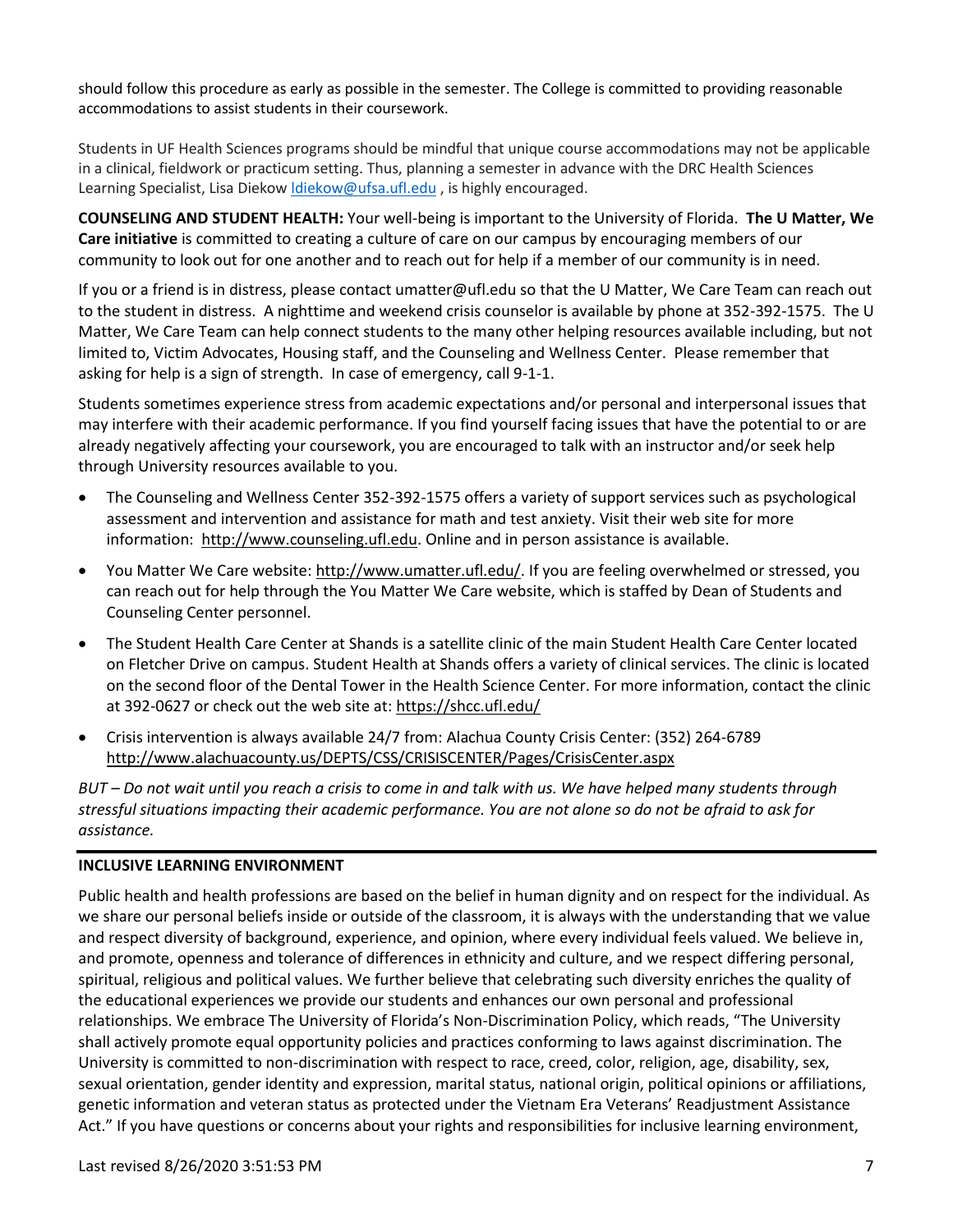should follow this procedure as early as possible in the semester. The College is committed to providing reasonable accommodations to assist students in their coursework.

Students in UF Health Sciences programs should be mindful that unique course accommodations may not be applicable in a clinical, fieldwork or practicum setting. Thus, planning a semester in advance with the DRC Health Sciences Learning Specialist, Lisa Diekow *Idiekow@ufsa.ufl.edu*, is highly encouraged.

**COUNSELING AND STUDENT HEALTH:** Your well-being is important to the University of Florida. **The U Matter, We Care initiative** is committed to creating a culture of care on our campus by encouraging members of our community to look out for one another and to reach out for help if a member of our community is in need.

If you or a friend is in distress, please contact umatter@ufl.edu so that the U Matter, We Care Team can reach out to the student in distress. A nighttime and weekend crisis counselor is available by phone at 352-392-1575. The U Matter, We Care Team can help connect students to the many other helping resources available including, but not limited to, Victim Advocates, Housing staff, and the Counseling and Wellness Center. Please remember that asking for help is a sign of strength. In case of emergency, call 9-1-1.

Students sometimes experience stress from academic expectations and/or personal and interpersonal issues that may interfere with their academic performance. If you find yourself facing issues that have the potential to or are already negatively affecting your coursework, you are encouraged to talk with an instructor and/or seek help through University resources available to you.

- The Counseling and Wellness Center 352-392-1575 offers a variety of support services such as psychological assessment and intervention and assistance for math and test anxiety. Visit their web site for more information: [http://www.counseling.ufl.edu.](http://www.counseling.ufl.edu/) Online and in person assistance is available.
- You Matter We Care website: [http://www.umatter.ufl.edu/.](http://www.umatter.ufl.edu/) If you are feeling overwhelmed or stressed, you can reach out for help through the You Matter We Care website, which is staffed by Dean of Students and Counseling Center personnel.
- The Student Health Care Center at Shands is a satellite clinic of the main Student Health Care Center located on Fletcher Drive on campus. Student Health at Shands offers a variety of clinical services. The clinic is located on the second floor of the Dental Tower in the Health Science Center. For more information, contact the clinic at 392-0627 or check out the web site at: <https://shcc.ufl.edu/>
- Crisis intervention is always available 24/7 from: Alachua County Crisis Center: (352) 264-6789 <http://www.alachuacounty.us/DEPTS/CSS/CRISISCENTER/Pages/CrisisCenter.aspx>

*BUT – Do not wait until you reach a crisis to come in and talk with us. We have helped many students through stressful situations impacting their academic performance. You are not alone so do not be afraid to ask for assistance.*

#### **INCLUSIVE LEARNING ENVIRONMENT**

Public health and health professions are based on the belief in human dignity and on respect for the individual. As we share our personal beliefs inside or outside of the classroom, it is always with the understanding that we value and respect diversity of background, experience, and opinion, where every individual feels valued. We believe in, and promote, openness and tolerance of differences in ethnicity and culture, and we respect differing personal, spiritual, religious and political values. We further believe that celebrating such diversity enriches the quality of the educational experiences we provide our students and enhances our own personal and professional relationships. We embrace The University of Florida's Non-Discrimination Policy, which reads, "The University shall actively promote equal opportunity policies and practices conforming to laws against discrimination. The University is committed to non-discrimination with respect to race, creed, color, religion, age, disability, sex, sexual orientation, gender identity and expression, marital status, national origin, political opinions or affiliations, genetic information and veteran status as protected under the Vietnam Era Veterans' Readjustment Assistance Act." If you have questions or concerns about your rights and responsibilities for inclusive learning environment,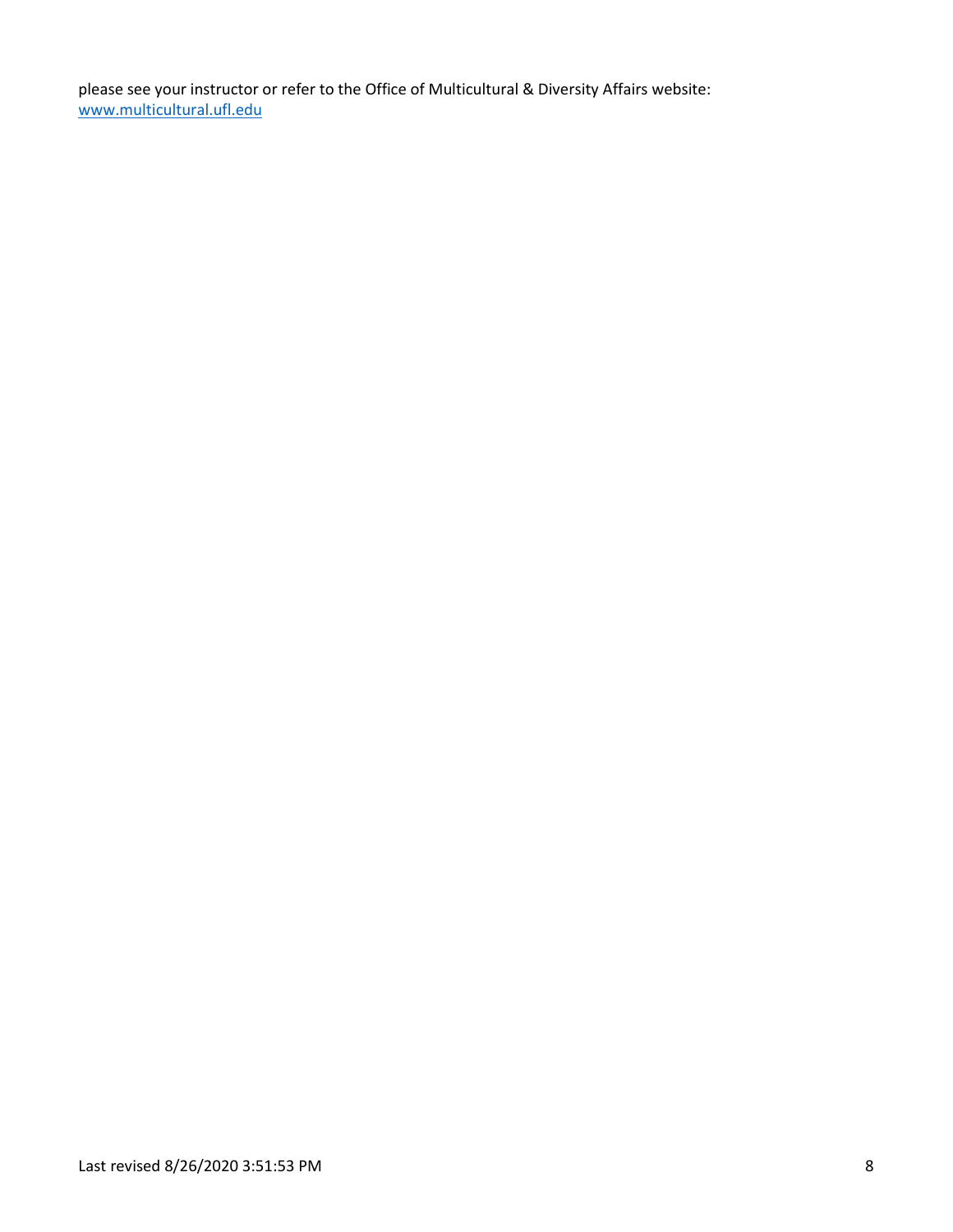please see your instructor or refer to the Office of Multicultural & Diversity Affairs website: [www.multicultural.ufl.edu](http://www.multicultural.ufl.edu/)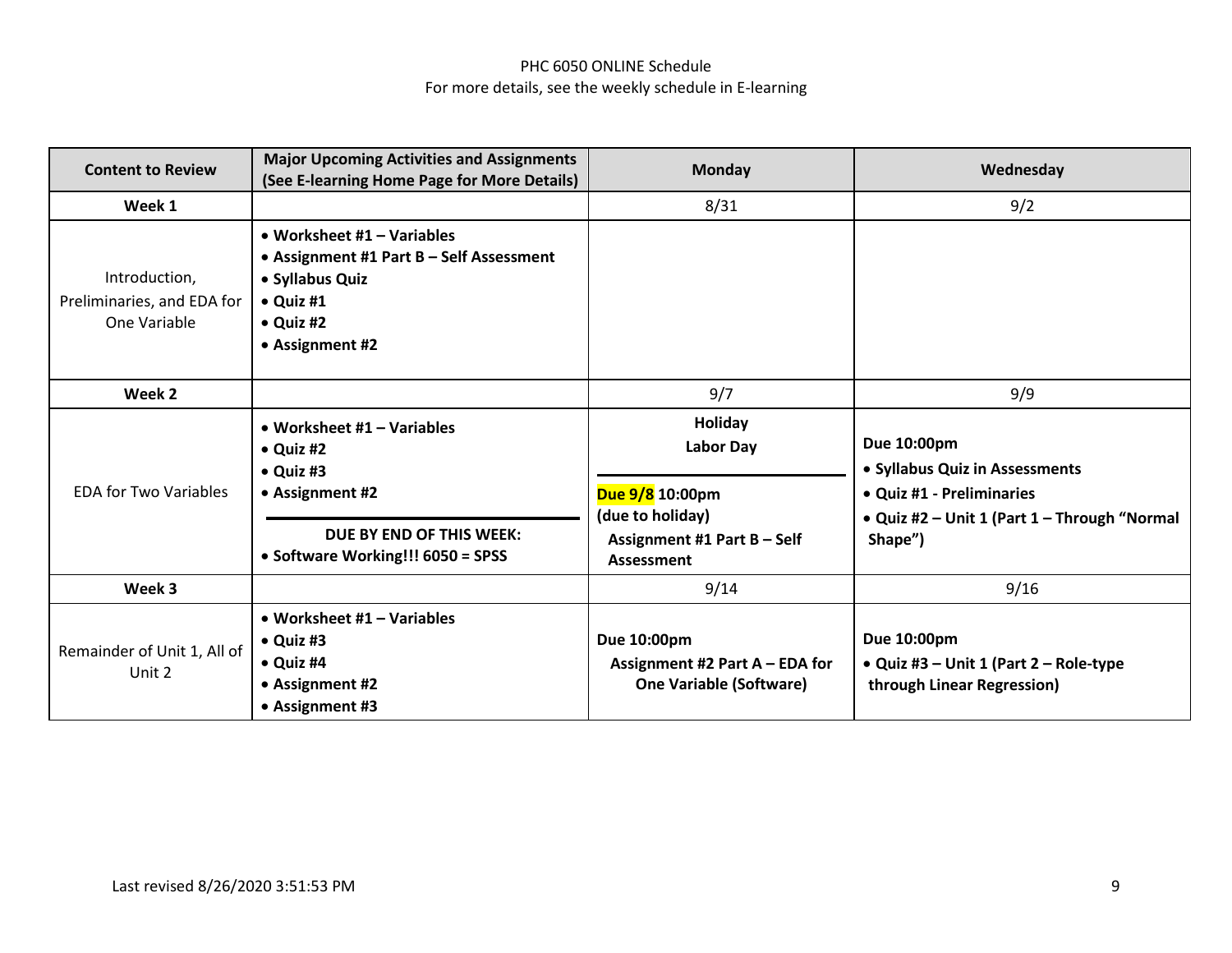## PHC 6050 ONLINE Schedule For more details, see the weekly schedule in E-learning

| <b>Content to Review</b>                                    | <b>Major Upcoming Activities and Assignments</b><br>(See E-learning Home Page for More Details)                                                          | <b>Monday</b>                                                                                     | Wednesday                                                                                                                             |
|-------------------------------------------------------------|----------------------------------------------------------------------------------------------------------------------------------------------------------|---------------------------------------------------------------------------------------------------|---------------------------------------------------------------------------------------------------------------------------------------|
| Week 1                                                      |                                                                                                                                                          | 8/31                                                                                              | 9/2                                                                                                                                   |
| Introduction,<br>Preliminaries, and EDA for<br>One Variable | • Worksheet $#1 -$ Variables<br>• Assignment #1 Part B - Self Assessment<br>• Syllabus Quiz<br>$\bullet$ Quiz #1<br>$\bullet$ Quiz #2<br>• Assignment #2 |                                                                                                   |                                                                                                                                       |
| Week 2                                                      |                                                                                                                                                          | 9/7                                                                                               | 9/9                                                                                                                                   |
| <b>EDA for Two Variables</b>                                | • Worksheet $#1 -$ Variables<br>$\bullet$ Quiz #2<br>$\bullet$ Quiz #3<br>• Assignment #2<br>DUE BY END OF THIS WEEK:                                    | Holiday<br><b>Labor Day</b><br>Due 9/8 10:00pm<br>(due to holiday)<br>Assignment #1 Part B - Self | Due 10:00pm<br>• Syllabus Quiz in Assessments<br>• Quiz #1 - Preliminaries<br>• Quiz #2 - Unit 1 (Part 1 - Through "Normal<br>Shape") |
| Week 3                                                      | • Software Working!!! 6050 = SPSS                                                                                                                        | Assessment<br>9/14                                                                                | 9/16                                                                                                                                  |
|                                                             |                                                                                                                                                          |                                                                                                   |                                                                                                                                       |
| Remainder of Unit 1, All of<br>Unit 2                       | • Worksheet $#1 -$ Variables<br>$\bullet$ Quiz #3<br>• Quiz #4<br>• Assignment #2<br>• Assignment #3                                                     | Due 10:00pm<br>Assignment #2 Part A - EDA for<br><b>One Variable (Software)</b>                   | Due 10:00pm<br>• Quiz #3 – Unit 1 (Part 2 – Role-type<br>through Linear Regression)                                                   |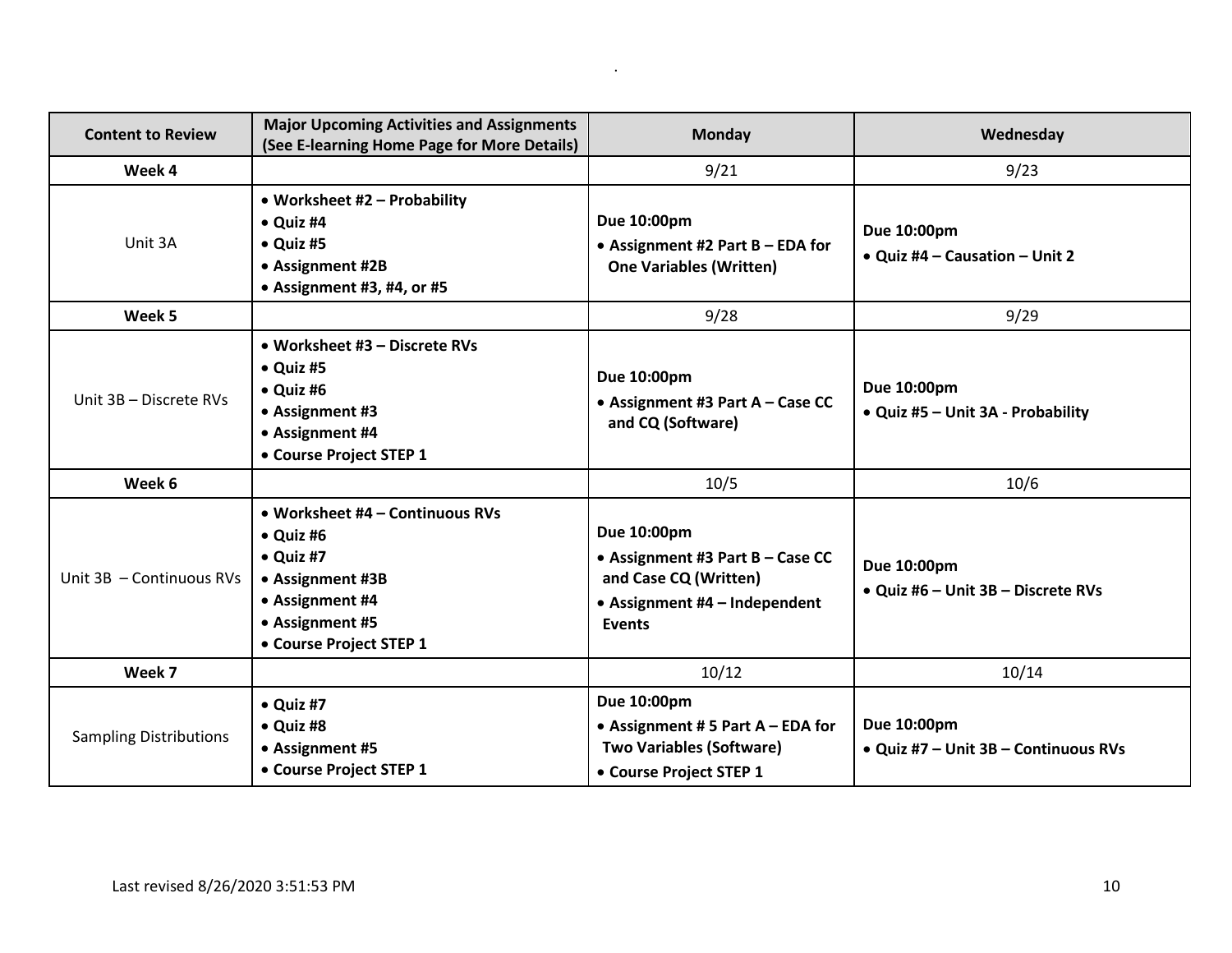| <b>Content to Review</b>      | <b>Major Upcoming Activities and Assignments</b><br>(See E-learning Home Page for More Details)                                                                | <b>Monday</b>                                                                                                       | Wednesday                                           |
|-------------------------------|----------------------------------------------------------------------------------------------------------------------------------------------------------------|---------------------------------------------------------------------------------------------------------------------|-----------------------------------------------------|
| Week 4                        |                                                                                                                                                                | 9/21                                                                                                                | 9/23                                                |
| Unit 3A                       | • Worksheet #2 - Probability<br>$\bullet$ Quiz #4<br>$\bullet$ Quiz #5<br>• Assignment #2B<br>• Assignment #3, #4, or #5                                       | Due 10:00pm<br>• Assignment #2 Part B - EDA for<br><b>One Variables (Written)</b>                                   | Due 10:00pm<br>• Quiz #4 - Causation - Unit 2       |
| Week 5                        |                                                                                                                                                                | 9/28                                                                                                                | 9/29                                                |
| Unit 3B - Discrete RVs        | • Worksheet #3 - Discrete RVs<br>• Quiz #5<br>$\bullet$ Quiz #6<br>• Assignment #3<br>• Assignment #4<br>• Course Project STEP 1                               | Due 10:00pm<br>• Assignment #3 Part A - Case CC<br>and CQ (Software)                                                | Due 10:00pm<br>• Quiz #5 - Unit 3A - Probability    |
| Week 6                        |                                                                                                                                                                | 10/5                                                                                                                | 10/6                                                |
| Unit 3B - Continuous RVs      | • Worksheet #4 - Continuous RVs<br>$\bullet$ Quiz #6<br>$\bullet$ Quiz #7<br>• Assignment #3B<br>• Assignment #4<br>• Assignment #5<br>• Course Project STEP 1 | Due 10:00pm<br>• Assignment #3 Part B - Case CC<br>and Case CQ (Written)<br>• Assignment #4 - Independent<br>Events | Due 10:00pm<br>• Quiz #6 - Unit 3B - Discrete RVs   |
| Week 7                        |                                                                                                                                                                | 10/12                                                                                                               | 10/14                                               |
| <b>Sampling Distributions</b> | $\bullet$ Quiz #7<br>$\bullet$ Quiz #8<br>• Assignment #5<br>• Course Project STEP 1                                                                           | Due 10:00pm<br>• Assignment # 5 Part $A$ – EDA for<br><b>Two Variables (Software)</b><br>• Course Project STEP 1    | Due 10:00pm<br>• Quiz #7 - Unit 3B - Continuous RVs |

.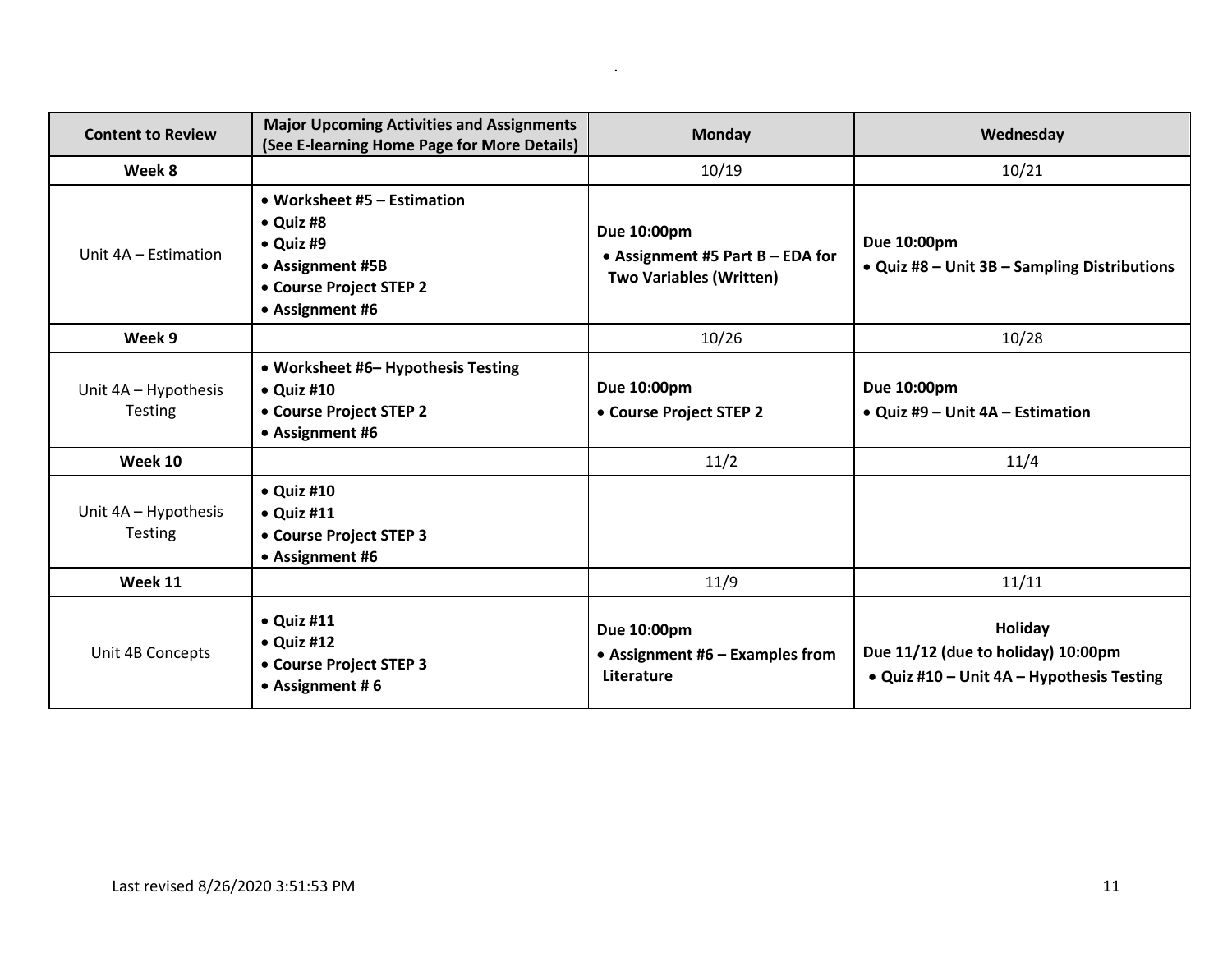| <b>Content to Review</b>               | <b>Major Upcoming Activities and Assignments</b><br>(See E-learning Home Page for More Details)                                 | <b>Monday</b>                                                                       | Wednesday                                                                                  |
|----------------------------------------|---------------------------------------------------------------------------------------------------------------------------------|-------------------------------------------------------------------------------------|--------------------------------------------------------------------------------------------|
| Week 8                                 |                                                                                                                                 | 10/19                                                                               | 10/21                                                                                      |
| Unit 4A - Estimation                   | • Worksheet #5 – Estimation<br>$\bullet$ Quiz #8<br>• Quiz #9<br>• Assignment #5B<br>• Course Project STEP 2<br>• Assignment #6 | Due 10:00pm<br>• Assignment #5 Part $B - EDA$ for<br><b>Two Variables (Written)</b> | Due 10:00pm<br>• Quiz #8 – Unit 3B – Sampling Distributions                                |
| Week 9                                 |                                                                                                                                 | 10/26                                                                               | 10/28                                                                                      |
| Unit 4A - Hypothesis<br><b>Testing</b> | • Worksheet #6- Hypothesis Testing<br>$\bullet$ Quiz #10<br>• Course Project STEP 2<br>• Assignment #6                          | Due 10:00pm<br>• Course Project STEP 2                                              | Due 10:00pm<br>• Quiz #9 – Unit $4A$ – Estimation                                          |
| Week 10                                |                                                                                                                                 | 11/2                                                                                | 11/4                                                                                       |
| Unit 4A - Hypothesis<br>Testing        | $\bullet$ Quiz #10<br>$\bullet$ Quiz #11<br>• Course Project STEP 3<br>• Assignment #6                                          |                                                                                     |                                                                                            |
| Week 11                                |                                                                                                                                 | 11/9                                                                                | 11/11                                                                                      |
| Unit 4B Concepts                       | $\bullet$ Quiz #11<br>$\bullet$ Quiz #12<br>• Course Project STEP 3<br>• Assignment #6                                          | Due 10:00pm<br>• Assignment #6 $-$ Examples from<br>Literature                      | Holiday<br>Due 11/12 (due to holiday) 10:00pm<br>• Quiz #10 - Unit 4A - Hypothesis Testing |

.